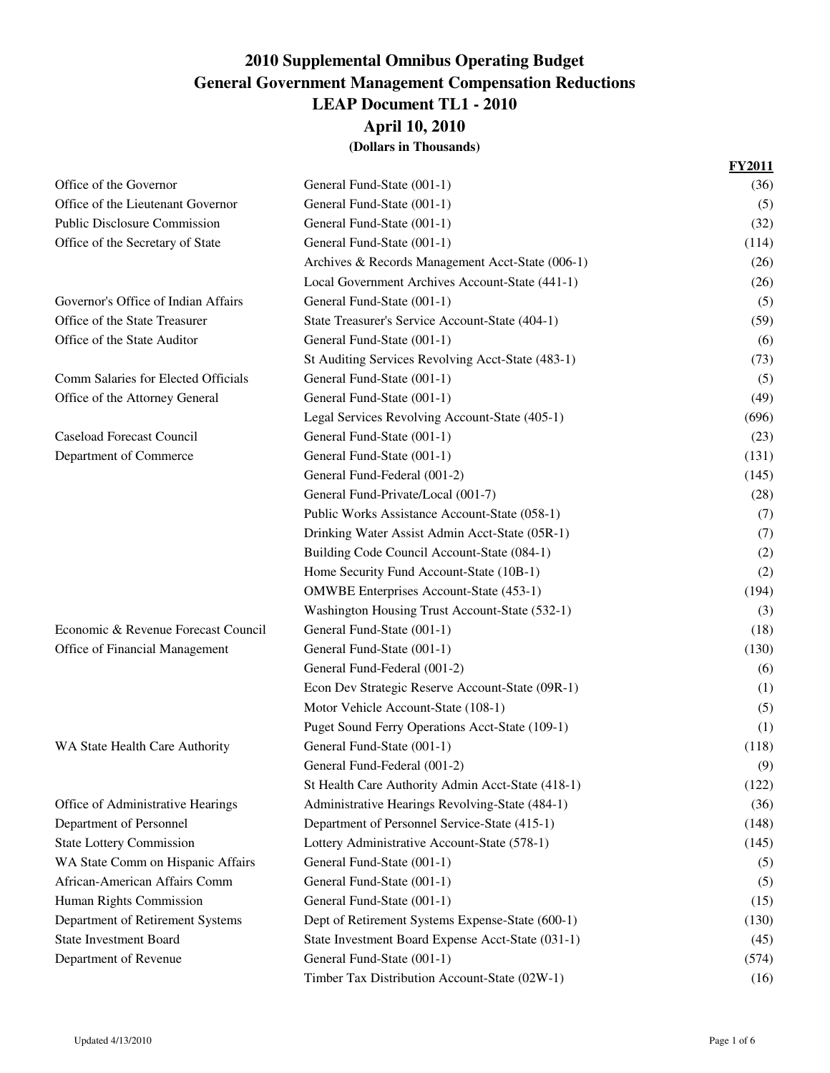**April 10, 2010**

|                                     |                                                   | <b>FY2011</b> |
|-------------------------------------|---------------------------------------------------|---------------|
| Office of the Governor              | General Fund-State (001-1)                        | (36)          |
| Office of the Lieutenant Governor   | General Fund-State (001-1)                        | (5)           |
| <b>Public Disclosure Commission</b> | General Fund-State (001-1)                        | (32)          |
| Office of the Secretary of State    | General Fund-State (001-1)                        | (114)         |
|                                     | Archives & Records Management Acct-State (006-1)  | (26)          |
|                                     | Local Government Archives Account-State (441-1)   | (26)          |
| Governor's Office of Indian Affairs | General Fund-State (001-1)                        | (5)           |
| Office of the State Treasurer       | State Treasurer's Service Account-State (404-1)   | (59)          |
| Office of the State Auditor         | General Fund-State (001-1)                        | (6)           |
|                                     | St Auditing Services Revolving Acct-State (483-1) | (73)          |
| Comm Salaries for Elected Officials | General Fund-State (001-1)                        | (5)           |
| Office of the Attorney General      | General Fund-State (001-1)                        | (49)          |
|                                     | Legal Services Revolving Account-State (405-1)    | (696)         |
| <b>Caseload Forecast Council</b>    | General Fund-State (001-1)                        | (23)          |
| Department of Commerce              | General Fund-State (001-1)                        | (131)         |
|                                     | General Fund-Federal (001-2)                      | (145)         |
|                                     | General Fund-Private/Local (001-7)                | (28)          |
|                                     | Public Works Assistance Account-State (058-1)     | (7)           |
|                                     | Drinking Water Assist Admin Acct-State (05R-1)    | (7)           |
|                                     | Building Code Council Account-State (084-1)       | (2)           |
|                                     | Home Security Fund Account-State (10B-1)          | (2)           |
|                                     | OMWBE Enterprises Account-State (453-1)           | (194)         |
|                                     | Washington Housing Trust Account-State (532-1)    | (3)           |
| Economic & Revenue Forecast Council | General Fund-State (001-1)                        | (18)          |
| Office of Financial Management      | General Fund-State (001-1)                        | (130)         |
|                                     | General Fund-Federal (001-2)                      | (6)           |
|                                     | Econ Dev Strategic Reserve Account-State (09R-1)  | (1)           |
|                                     | Motor Vehicle Account-State (108-1)               | (5)           |
|                                     | Puget Sound Ferry Operations Acct-State (109-1)   | (1)           |
| WA State Health Care Authority      | General Fund-State (001-1)                        | (118)         |
|                                     | General Fund-Federal (001-2)                      | (9)           |
|                                     | St Health Care Authority Admin Acct-State (418-1) | (122)         |
| Office of Administrative Hearings   | Administrative Hearings Revolving-State (484-1)   | (36)          |
| Department of Personnel             | Department of Personnel Service-State (415-1)     | (148)         |
| <b>State Lottery Commission</b>     | Lottery Administrative Account-State (578-1)      | (145)         |
| WA State Comm on Hispanic Affairs   | General Fund-State (001-1)                        | (5)           |
| African-American Affairs Comm       | General Fund-State (001-1)                        | (5)           |
| Human Rights Commission             | General Fund-State (001-1)                        | (15)          |
| Department of Retirement Systems    | Dept of Retirement Systems Expense-State (600-1)  | (130)         |
| <b>State Investment Board</b>       | State Investment Board Expense Acct-State (031-1) | (45)          |
| Department of Revenue               | General Fund-State (001-1)                        | (574)         |
|                                     | Timber Tax Distribution Account-State (02W-1)     | (16)          |
|                                     |                                                   |               |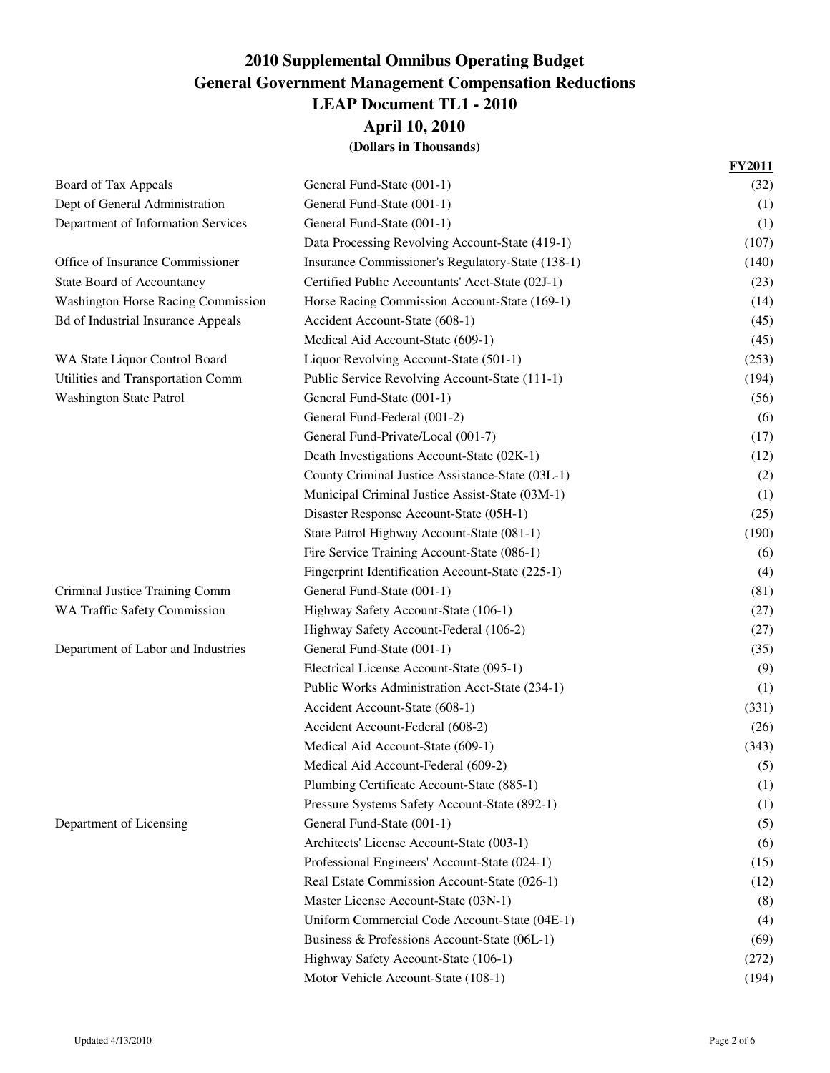|                                           |                                                   | <b>FY2011</b> |
|-------------------------------------------|---------------------------------------------------|---------------|
| Board of Tax Appeals                      | General Fund-State (001-1)                        | (32)          |
| Dept of General Administration            | General Fund-State (001-1)                        | (1)           |
| Department of Information Services        | General Fund-State (001-1)                        | (1)           |
|                                           | Data Processing Revolving Account-State (419-1)   | (107)         |
| Office of Insurance Commissioner          | Insurance Commissioner's Regulatory-State (138-1) | (140)         |
| <b>State Board of Accountancy</b>         | Certified Public Accountants' Acct-State (02J-1)  | (23)          |
| <b>Washington Horse Racing Commission</b> | Horse Racing Commission Account-State (169-1)     | (14)          |
| <b>Bd of Industrial Insurance Appeals</b> | Accident Account-State (608-1)                    | (45)          |
|                                           | Medical Aid Account-State (609-1)                 | (45)          |
| WA State Liquor Control Board             | Liquor Revolving Account-State (501-1)            | (253)         |
| Utilities and Transportation Comm         | Public Service Revolving Account-State (111-1)    | (194)         |
| <b>Washington State Patrol</b>            | General Fund-State (001-1)                        | (56)          |
|                                           | General Fund-Federal (001-2)                      | (6)           |
|                                           | General Fund-Private/Local (001-7)                | (17)          |
|                                           | Death Investigations Account-State (02K-1)        | (12)          |
|                                           | County Criminal Justice Assistance-State (03L-1)  | (2)           |
|                                           | Municipal Criminal Justice Assist-State (03M-1)   | (1)           |
|                                           | Disaster Response Account-State (05H-1)           | (25)          |
|                                           | State Patrol Highway Account-State (081-1)        | (190)         |
|                                           | Fire Service Training Account-State (086-1)       | (6)           |
|                                           | Fingerprint Identification Account-State (225-1)  | (4)           |
| Criminal Justice Training Comm            | General Fund-State (001-1)                        | (81)          |
| WA Traffic Safety Commission              | Highway Safety Account-State (106-1)              | (27)          |
|                                           | Highway Safety Account-Federal (106-2)            | (27)          |
| Department of Labor and Industries        | General Fund-State (001-1)                        | (35)          |
|                                           | Electrical License Account-State (095-1)          | (9)           |
|                                           | Public Works Administration Acct-State (234-1)    | (1)           |
|                                           | Accident Account-State (608-1)                    | (331)         |
|                                           | Accident Account-Federal (608-2)                  | (26)          |
|                                           | Medical Aid Account-State (609-1)                 | (343)         |
|                                           | Medical Aid Account-Federal (609-2)               | (5)           |
|                                           | Plumbing Certificate Account-State (885-1)        | (1)           |
|                                           | Pressure Systems Safety Account-State (892-1)     | (1)           |
| Department of Licensing                   | General Fund-State (001-1)                        | (5)           |
|                                           | Architects' License Account-State (003-1)         | (6)           |
|                                           | Professional Engineers' Account-State (024-1)     | (15)          |
|                                           | Real Estate Commission Account-State (026-1)      | (12)          |
|                                           | Master License Account-State (03N-1)              | (8)           |
|                                           | Uniform Commercial Code Account-State (04E-1)     | (4)           |
|                                           | Business & Professions Account-State (06L-1)      | (69)          |
|                                           | Highway Safety Account-State (106-1)              | (272)         |
|                                           | Motor Vehicle Account-State (108-1)               | (194)         |
|                                           |                                                   |               |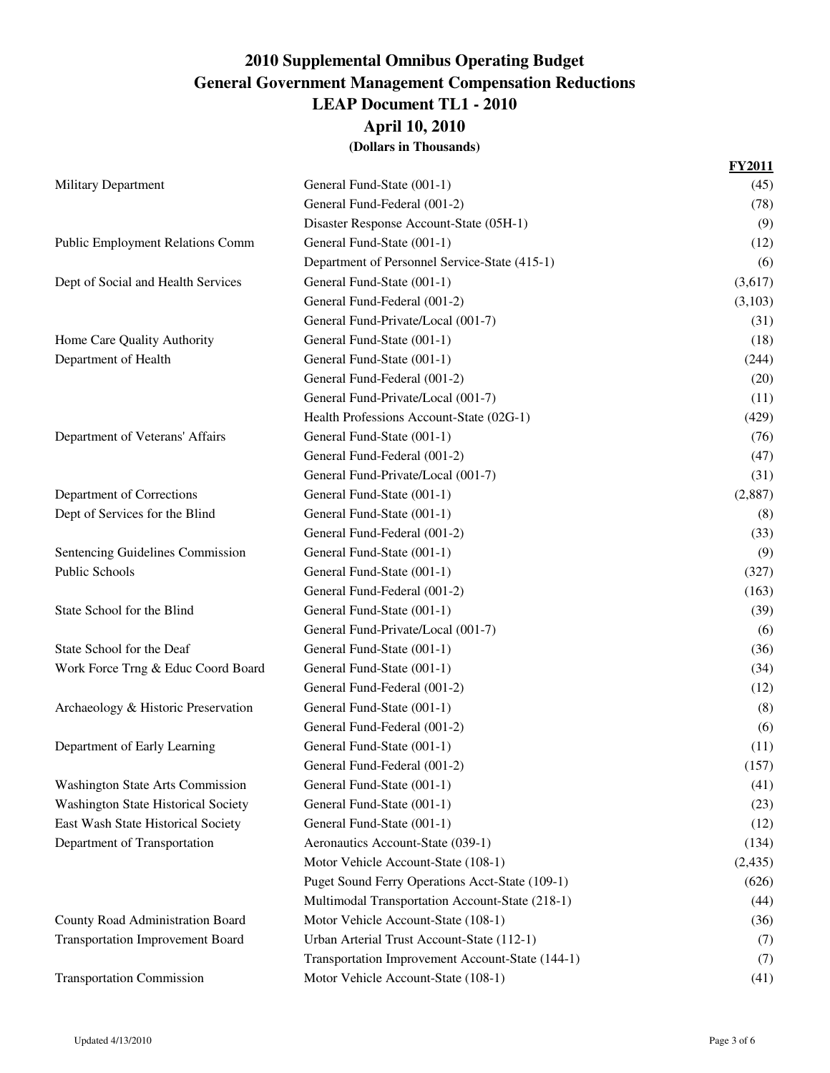**April 10, 2010**

|                                         |                                                  | <b>FY2011</b> |
|-----------------------------------------|--------------------------------------------------|---------------|
| <b>Military Department</b>              | General Fund-State (001-1)                       | (45)          |
|                                         | General Fund-Federal (001-2)                     | (78)          |
|                                         | Disaster Response Account-State (05H-1)          | (9)           |
| Public Employment Relations Comm        | General Fund-State (001-1)                       | (12)          |
|                                         | Department of Personnel Service-State (415-1)    | (6)           |
| Dept of Social and Health Services      | General Fund-State (001-1)                       | (3,617)       |
|                                         | General Fund-Federal (001-2)                     | (3,103)       |
|                                         | General Fund-Private/Local (001-7)               | (31)          |
| Home Care Quality Authority             | General Fund-State (001-1)                       | (18)          |
| Department of Health                    | General Fund-State (001-1)                       | (244)         |
|                                         | General Fund-Federal (001-2)                     | (20)          |
|                                         | General Fund-Private/Local (001-7)               | (11)          |
|                                         | Health Professions Account-State (02G-1)         | (429)         |
| Department of Veterans' Affairs         | General Fund-State (001-1)                       | (76)          |
|                                         | General Fund-Federal (001-2)                     | (47)          |
|                                         | General Fund-Private/Local (001-7)               | (31)          |
| Department of Corrections               | General Fund-State (001-1)                       | (2,887)       |
| Dept of Services for the Blind          | General Fund-State (001-1)                       | (8)           |
|                                         | General Fund-Federal (001-2)                     | (33)          |
| Sentencing Guidelines Commission        | General Fund-State (001-1)                       | (9)           |
| Public Schools                          | General Fund-State (001-1)                       | (327)         |
|                                         | General Fund-Federal (001-2)                     | (163)         |
| State School for the Blind              | General Fund-State (001-1)                       | (39)          |
|                                         | General Fund-Private/Local (001-7)               | (6)           |
| State School for the Deaf               | General Fund-State (001-1)                       | (36)          |
| Work Force Trng & Educ Coord Board      | General Fund-State (001-1)                       | (34)          |
|                                         | General Fund-Federal (001-2)                     | (12)          |
| Archaeology & Historic Preservation     | General Fund-State (001-1)                       | (8)           |
|                                         | General Fund-Federal (001-2)                     | (6)           |
| Department of Early Learning            | General Fund-State (001-1)                       | (11)          |
|                                         | General Fund-Federal (001-2)                     | (157)         |
| <b>Washington State Arts Commission</b> | General Fund-State (001-1)                       | (41)          |
| Washington State Historical Society     | General Fund-State (001-1)                       | (23)          |
| East Wash State Historical Society      | General Fund-State (001-1)                       | (12)          |
| Department of Transportation            | Aeronautics Account-State (039-1)                | (134)         |
|                                         | Motor Vehicle Account-State (108-1)              | (2, 435)      |
|                                         | Puget Sound Ferry Operations Acct-State (109-1)  | (626)         |
|                                         | Multimodal Transportation Account-State (218-1)  | (44)          |
| County Road Administration Board        | Motor Vehicle Account-State (108-1)              | (36)          |
| <b>Transportation Improvement Board</b> | Urban Arterial Trust Account-State (112-1)       | (7)           |
|                                         | Transportation Improvement Account-State (144-1) | (7)           |
| <b>Transportation Commission</b>        | Motor Vehicle Account-State (108-1)              | (41)          |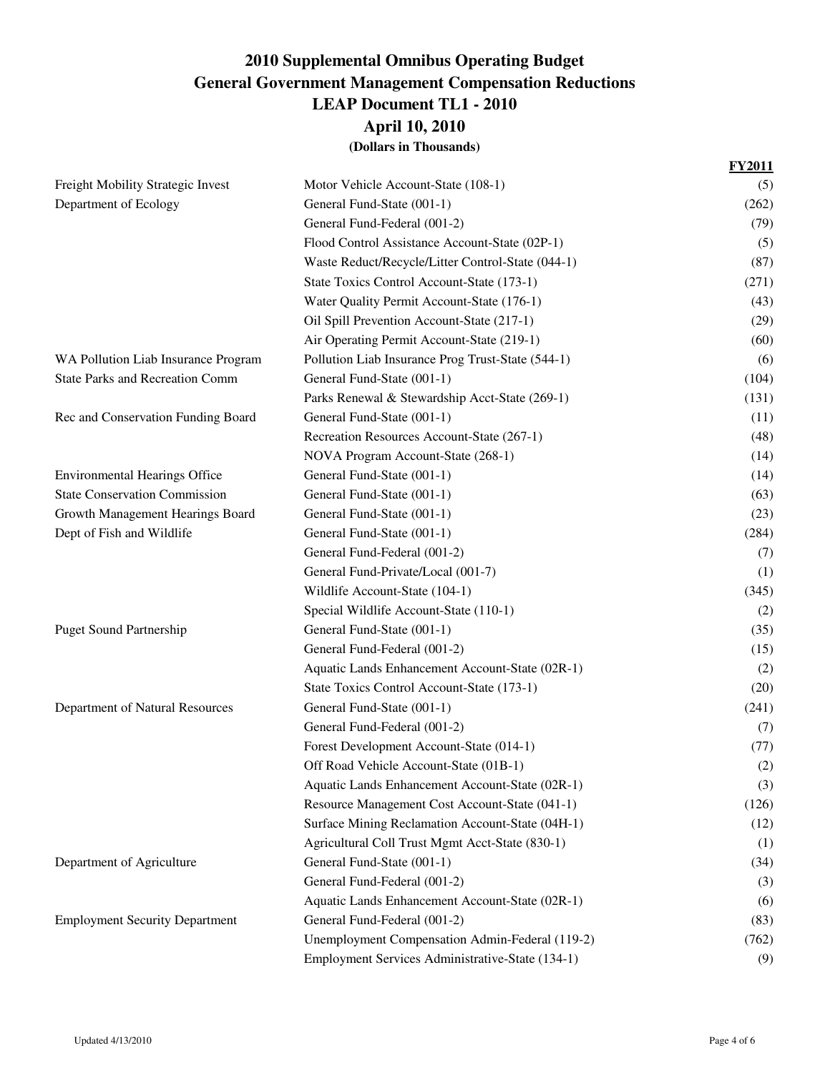**April 10, 2010**

|                                        |                                                   | <b>FY2011</b> |
|----------------------------------------|---------------------------------------------------|---------------|
| Freight Mobility Strategic Invest      | Motor Vehicle Account-State (108-1)               | (5)           |
| Department of Ecology                  | General Fund-State (001-1)                        | (262)         |
|                                        | General Fund-Federal (001-2)                      | (79)          |
|                                        | Flood Control Assistance Account-State (02P-1)    | (5)           |
|                                        | Waste Reduct/Recycle/Litter Control-State (044-1) | (87)          |
|                                        | State Toxics Control Account-State (173-1)        | (271)         |
|                                        | Water Quality Permit Account-State (176-1)        | (43)          |
|                                        | Oil Spill Prevention Account-State (217-1)        | (29)          |
|                                        | Air Operating Permit Account-State (219-1)        | (60)          |
| WA Pollution Liab Insurance Program    | Pollution Liab Insurance Prog Trust-State (544-1) | (6)           |
| <b>State Parks and Recreation Comm</b> | General Fund-State (001-1)                        | (104)         |
|                                        | Parks Renewal & Stewardship Acct-State (269-1)    | (131)         |
| Rec and Conservation Funding Board     | General Fund-State (001-1)                        | (11)          |
|                                        | Recreation Resources Account-State (267-1)        | (48)          |
|                                        | NOVA Program Account-State (268-1)                | (14)          |
| <b>Environmental Hearings Office</b>   | General Fund-State (001-1)                        | (14)          |
| <b>State Conservation Commission</b>   | General Fund-State (001-1)                        | (63)          |
| Growth Management Hearings Board       | General Fund-State (001-1)                        | (23)          |
| Dept of Fish and Wildlife              | General Fund-State (001-1)                        | (284)         |
|                                        | General Fund-Federal (001-2)                      | (7)           |
|                                        | General Fund-Private/Local (001-7)                | (1)           |
|                                        | Wildlife Account-State (104-1)                    | (345)         |
|                                        | Special Wildlife Account-State (110-1)            | (2)           |
| <b>Puget Sound Partnership</b>         | General Fund-State (001-1)                        | (35)          |
|                                        | General Fund-Federal (001-2)                      | (15)          |
|                                        | Aquatic Lands Enhancement Account-State (02R-1)   | (2)           |
|                                        | State Toxics Control Account-State (173-1)        | (20)          |
| Department of Natural Resources        | General Fund-State (001-1)                        | (241)         |
|                                        | General Fund-Federal (001-2)                      | (7)           |
|                                        | Forest Development Account-State (014-1)          | (77)          |
|                                        | Off Road Vehicle Account-State (01B-1)            | (2)           |
|                                        | Aquatic Lands Enhancement Account-State (02R-1)   | (3)           |
|                                        | Resource Management Cost Account-State (041-1)    | (126)         |
|                                        | Surface Mining Reclamation Account-State (04H-1)  | (12)          |
|                                        | Agricultural Coll Trust Mgmt Acct-State (830-1)   | (1)           |
| Department of Agriculture              | General Fund-State (001-1)                        | (34)          |
|                                        | General Fund-Federal (001-2)                      | (3)           |
|                                        | Aquatic Lands Enhancement Account-State (02R-1)   | (6)           |
| <b>Employment Security Department</b>  | General Fund-Federal (001-2)                      | (83)          |
|                                        | Unemployment Compensation Admin-Federal (119-2)   | (762)         |
|                                        | Employment Services Administrative-State (134-1)  | (9)           |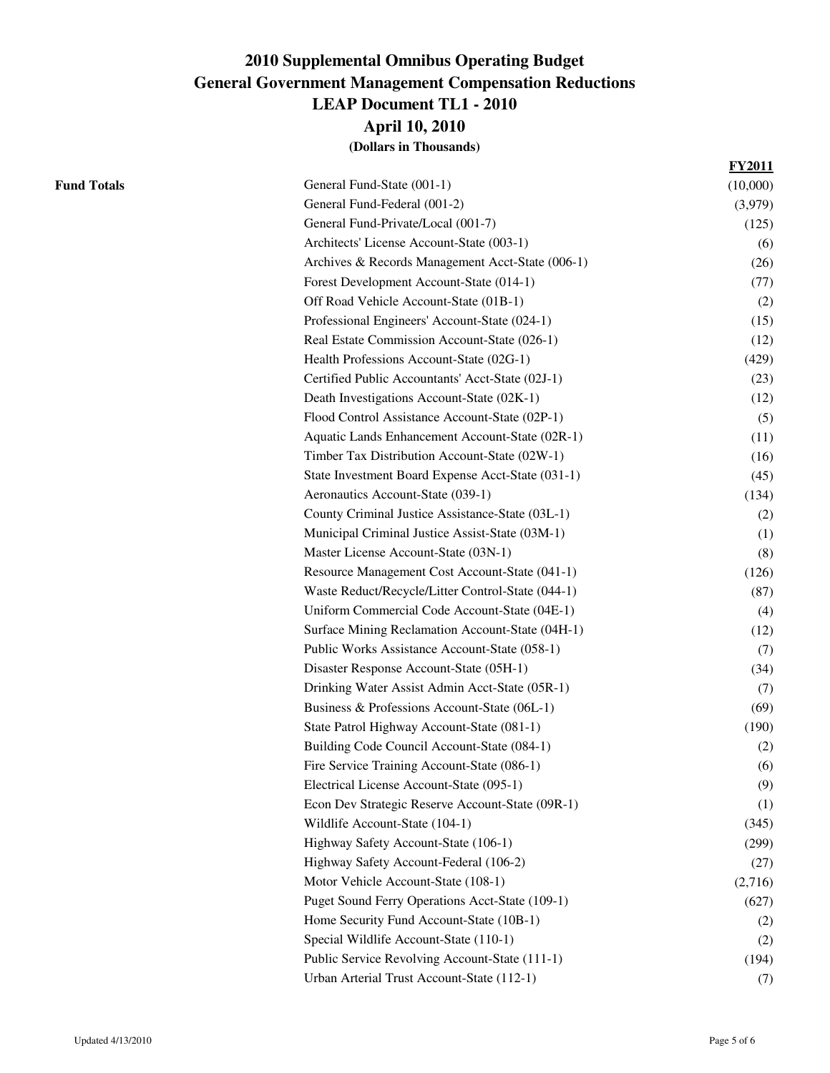**April 10, 2010**

|                    |                                                   | <b>FY2011</b> |
|--------------------|---------------------------------------------------|---------------|
| <b>Fund Totals</b> | General Fund-State (001-1)                        | (10,000)      |
|                    | General Fund-Federal (001-2)                      | (3,979)       |
|                    | General Fund-Private/Local (001-7)                | (125)         |
|                    | Architects' License Account-State (003-1)         | (6)           |
|                    | Archives & Records Management Acct-State (006-1)  | (26)          |
|                    | Forest Development Account-State (014-1)          | (77)          |
|                    | Off Road Vehicle Account-State (01B-1)            | (2)           |
|                    | Professional Engineers' Account-State (024-1)     | (15)          |
|                    | Real Estate Commission Account-State (026-1)      | (12)          |
|                    | Health Professions Account-State (02G-1)          | (429)         |
|                    | Certified Public Accountants' Acct-State (02J-1)  | (23)          |
|                    | Death Investigations Account-State (02K-1)        | (12)          |
|                    | Flood Control Assistance Account-State (02P-1)    | (5)           |
|                    | Aquatic Lands Enhancement Account-State (02R-1)   | (11)          |
|                    | Timber Tax Distribution Account-State (02W-1)     | (16)          |
|                    | State Investment Board Expense Acct-State (031-1) | (45)          |
|                    | Aeronautics Account-State (039-1)                 | (134)         |
|                    | County Criminal Justice Assistance-State (03L-1)  | (2)           |
|                    | Municipal Criminal Justice Assist-State (03M-1)   | (1)           |
|                    | Master License Account-State (03N-1)              | (8)           |
|                    | Resource Management Cost Account-State (041-1)    | (126)         |
|                    | Waste Reduct/Recycle/Litter Control-State (044-1) | (87)          |
|                    | Uniform Commercial Code Account-State (04E-1)     | (4)           |
|                    | Surface Mining Reclamation Account-State (04H-1)  | (12)          |
|                    | Public Works Assistance Account-State (058-1)     | (7)           |
|                    | Disaster Response Account-State (05H-1)           | (34)          |
|                    | Drinking Water Assist Admin Acct-State (05R-1)    | (7)           |
|                    | Business & Professions Account-State (06L-1)      | (69)          |
|                    | State Patrol Highway Account-State (081-1)        | (190)         |
|                    | Building Code Council Account-State (084-1)       | (2)           |
|                    | Fire Service Training Account-State (086-1)       | (6)           |
|                    | Electrical License Account-State (095-1)          | (9)           |
|                    | Econ Dev Strategic Reserve Account-State (09R-1)  | (1)           |
|                    | Wildlife Account-State (104-1)                    | (345)         |
|                    | Highway Safety Account-State (106-1)              | (299)         |
|                    | Highway Safety Account-Federal (106-2)            | (27)          |
|                    | Motor Vehicle Account-State (108-1)               | (2,716)       |
|                    | Puget Sound Ferry Operations Acct-State (109-1)   | (627)         |
|                    | Home Security Fund Account-State (10B-1)          | (2)           |
|                    | Special Wildlife Account-State (110-1)            | (2)           |
|                    | Public Service Revolving Account-State (111-1)    | (194)         |
|                    | Urban Arterial Trust Account-State (112-1)        | (7)           |